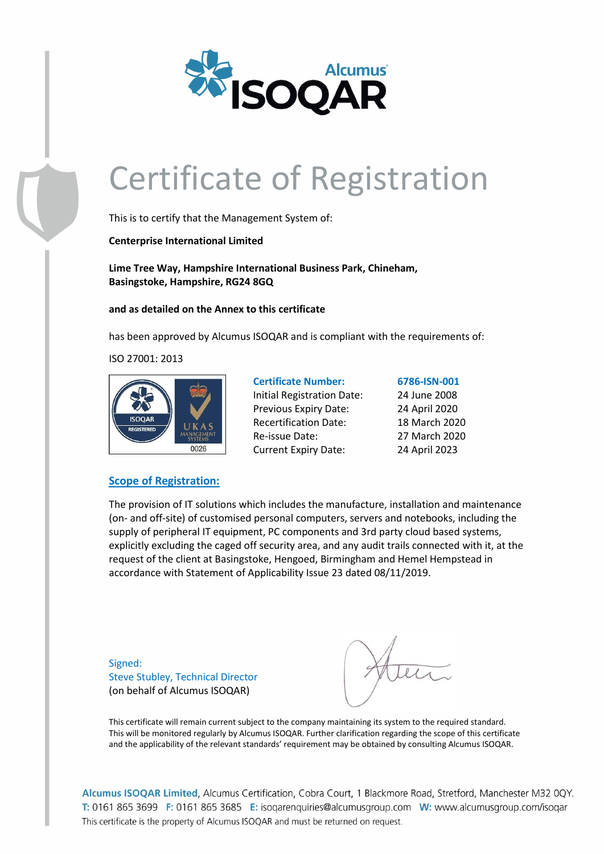

This is to certify that the Management System of:

**Centerprise International Limited**

**Lime Tree Way, Hampshire International Business Park, Chineham, Basingstoke, Hampshire, RG24 8GQ**

**and as detailed on the Annex to this certificate**

has been approved by Alcumus ISOQAR and is compliant with the requirements of:

ISO 27001: 2013



| <b>Certificate Number:</b>   | 6786-ISN-001  |
|------------------------------|---------------|
| Initial Registration Date:   | 24 June 2008  |
| Previous Expiry Date:        | 24 April 2020 |
| <b>Recertification Date:</b> | 18 March 2020 |
| Re-issue Date:               | 27 March 2020 |
| <b>Current Expiry Date:</b>  | 24 April 2023 |

### **Scope of Registration:**

The provision of IT solutions which includes the manufacture, installation and maintenance (on- and off-site) of customised personal computers, servers and notebooks, including the supply of peripheral IT equipment, PC components and 3rd party cloud based systems, explicitly excluding the caged off security area, and any audit trails connected with it, at the request of the client at Basingstoke, Hengoed, Birmingham and Hemel Hempstead in accordance with Statement of Applicability Issue 23 dated 08/11/2019.

Signed: Steve Stubley, Technical Director (on behalf of Alcumus ISOQAR)

This certificate will remain current subject to the company maintaining its system to the required standard. This will be monitored regularly by Alcumus ISOQAR. Further clarification regarding the scope of this certificate and the applicability of the relevant standards' requirement may be obtained by consulting Alcumus ISOQAR.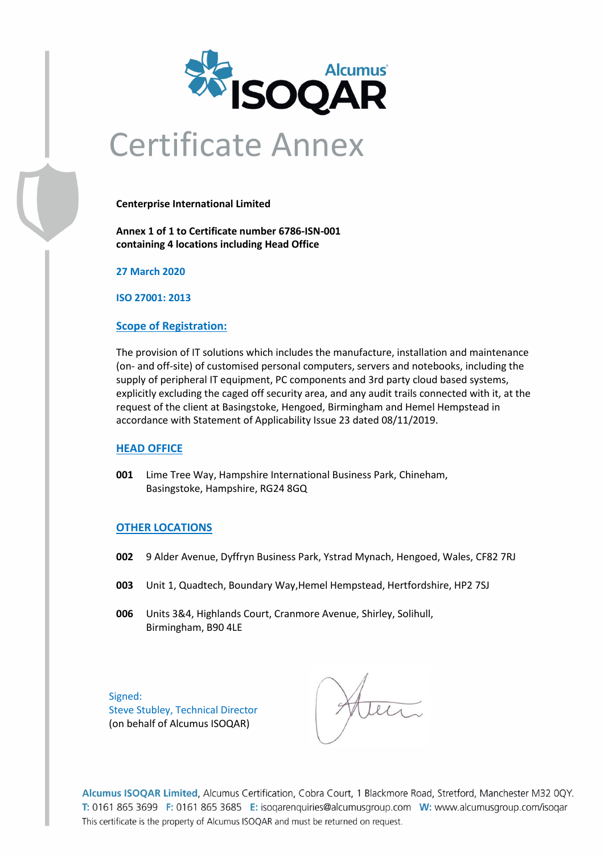

# Certificate Annex

**Centerprise International Limited**

**Annex 1 of 1 to Certificate number 6786-ISN-001 containing 4 locations including Head Office**

**27 March 2020**

**ISO 27001: 2013**

#### **Scope of Registration:**

The provision of IT solutions which includes the manufacture, installation and maintenance (on- and off-site) of customised personal computers, servers and notebooks, including the supply of peripheral IT equipment, PC components and 3rd party cloud based systems, explicitly excluding the caged off security area, and any audit trails connected with it, at the request of the client at Basingstoke, Hengoed, Birmingham and Hemel Hempstead in accordance with Statement of Applicability Issue 23 dated 08/11/2019.

#### **HEAD OFFICE**

**001** Lime Tree Way, Hampshire International Business Park, Chineham, Basingstoke, Hampshire, RG24 8GQ

#### **OTHER LOCATIONS**

- **002** 9 Alder Avenue, Dyffryn Business Park, Ystrad Mynach, Hengoed, Wales, CF82 7RJ
- **003** Unit 1, Quadtech, Boundary Way,Hemel Hempstead, Hertfordshire, HP2 7SJ
- **006** Units 3&4, Highlands Court, Cranmore Avenue, Shirley, Solihull, Birmingham, B90 4LE

Signed: Steve Stubley, Technical Director (on behalf of Alcumus ISOQAR)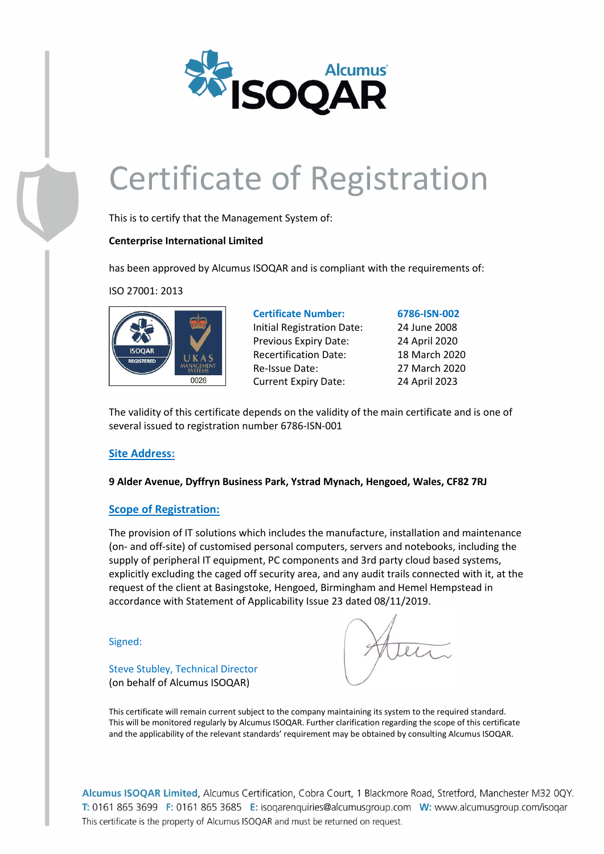

This is to certify that the Management System of:

### **Centerprise International Limited**

has been approved by Alcumus ISOQAR and is compliant with the requirements of:

ISO 27001: 2013



**Certificate Number: 6786-ISN-002** Initial Registration Date: 24 June 2008 Previous Expiry Date: 24 April 2020 Recertification Date: 18 March 2020 Re-Issue Date: 27 March 2020 Current Expiry Date: 24 April 2023

The validity of this certificate depends on the validity of the main certificate and is one of several issued to registration number 6786-ISN-001

# **Site Address:**

**9 Alder Avenue, Dyffryn Business Park, Ystrad Mynach, Hengoed, Wales, CF82 7RJ**

# **Scope of Registration:**

Steve Stubley, Technical Director (on behalf of Alcumus ISOQAR)

The provision of IT solutions which includes the manufacture, installation and maintenance (on- and off-site) of customised personal computers, servers and notebooks, including the supply of peripheral IT equipment, PC components and 3rd party cloud based systems, explicitly excluding the caged off security area, and any audit trails connected with it, at the request of the client at Basingstoke, Hengoed, Birmingham and Hemel Hempstead in accordance with Statement of Applicability Issue 23 dated 08/11/2019.

Signed:

This certificate will remain current subject to the company maintaining its system to the required standard. This will be monitored regularly by Alcumus ISOQAR. Further clarification regarding the scope of this certificate and the applicability of the relevant standards' requirement may be obtained by consulting Alcumus ISOQAR.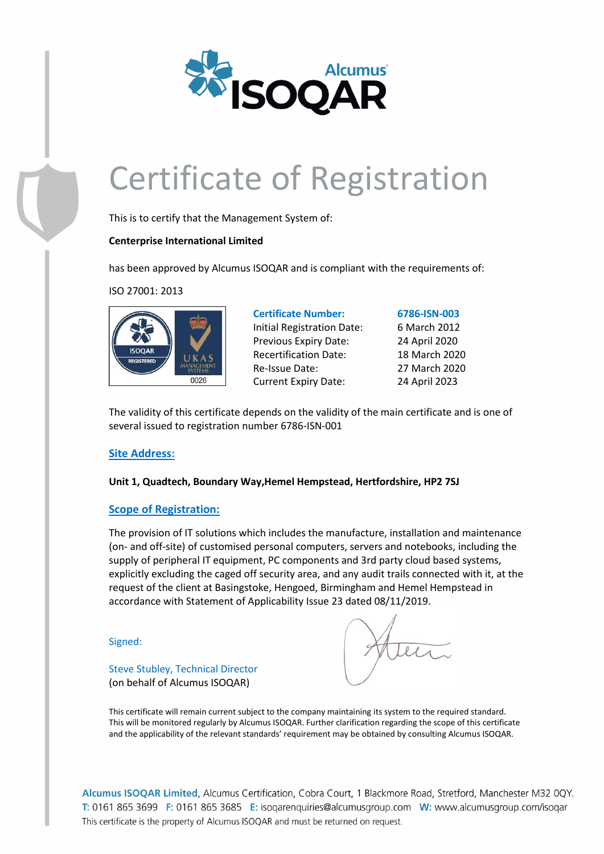

This is to certify that the Management System of:

# **Centerprise International Limited**

has been approved by Alcumus ISOQAR and is compliant with the requirements of:

ISO 27001: 2013



**Certificate Number: 6786-ISN-003** Initial Registration Date: 6 March 2012 Previous Expiry Date: 24 April 2020 Recertification Date: 18 March 2020 Re-Issue Date: 27 March 2020 Current Expiry Date: 24 April 2023

The validity of this certificate depends on the validity of the main certificate and is one of several issued to registration number 6786-ISN-001

# **Site Address:**

**Unit 1, Quadtech, Boundary Way,Hemel Hempstead, Hertfordshire, HP2 7SJ**

# **Scope of Registration:**

The provision of IT solutions which includes the manufacture, installation and maintenance (on- and off-site) of customised personal computers, servers and notebooks, including the supply of peripheral IT equipment, PC components and 3rd party cloud based systems, explicitly excluding the caged off security area, and any audit trails connected with it, at the request of the client at Basingstoke, Hengoed, Birmingham and Hemel Hempstead in accordance with Statement of Applicability Issue 23 dated 08/11/2019.

Signed:

Steve Stubley, Technical Director (on behalf of Alcumus ISOQAR)

This certificate will remain current subject to the company maintaining its system to the required standard. This will be monitored regularly by Alcumus ISOQAR. Further clarification regarding the scope of this certificate and the applicability of the relevant standards' requirement may be obtained by consulting Alcumus ISOQAR.